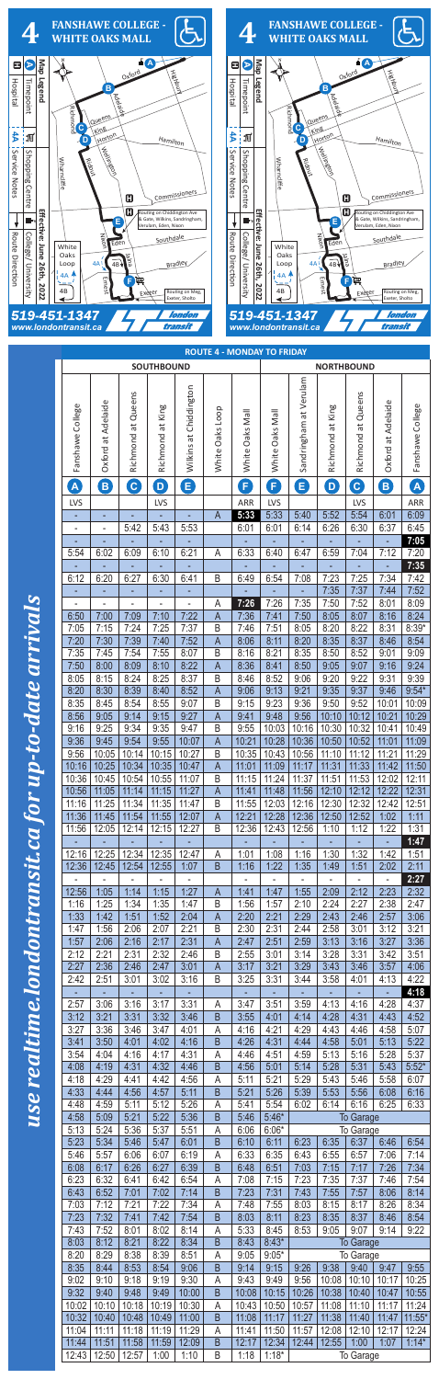

| <b>SOUTHBOUND</b>        |                              |                          |                          |                              |                     | <b>NORTHBOUND</b> |                              |                        |                          |                          |                    |                      |  |
|--------------------------|------------------------------|--------------------------|--------------------------|------------------------------|---------------------|-------------------|------------------------------|------------------------|--------------------------|--------------------------|--------------------|----------------------|--|
|                          |                              | Richmond at Queens       |                          | Wilkins at Chiddington       |                     |                   |                              | Sandringham at Verulam |                          | Richmond at Queens       |                    |                      |  |
| Fanshawe College         | Oxford at Adelaide           |                          | Richmond at King         |                              | White Oaks Loop     | White Oaks Mall   | White Oaks Mall              |                        | Richmond at King         |                          | Oxford at Adelaide | Fanshawe College     |  |
|                          |                              |                          |                          |                              |                     |                   |                              |                        |                          |                          |                    |                      |  |
|                          |                              |                          |                          |                              |                     |                   |                              |                        |                          |                          |                    |                      |  |
|                          |                              |                          |                          |                              |                     |                   |                              |                        |                          |                          |                    |                      |  |
| $\mathbf{A}$             | B                            | C                        | $\ddot{\mathbf{Q}}$      | B                            |                     | B                 | B                            | 8                      | $\ddot{\textbf{O}}$      | C                        | B                  | A                    |  |
| <b>LVS</b>               |                              |                          | <b>LVS</b>               |                              |                     | ARR               | LVS                          |                        |                          | <b>LVS</b>               |                    | ARR                  |  |
|                          |                              |                          |                          |                              | A                   | 5:33              | 5:33                         | 5:40                   | 5:52                     | 5:54                     | 6:01               | 6:09                 |  |
| $\overline{\phantom{a}}$ | $\qquad \qquad \blacksquare$ | 5:42                     | 5:43                     | 5:53                         |                     | 6:01              | 6:01                         | 6:14                   | 6:26                     | 6:30                     | 6:37               | 6:45                 |  |
| 5:54                     | 6:02                         | 6:09                     | 6:10                     | 6:21                         | A                   | 6:33              | 6:40                         | 6:47                   | 6:59                     | ÷<br>7:04                | ÷<br>7:12          | 7:05<br>7:20<br>7:35 |  |
| 6:12                     | 6:20                         | 6:27                     | 6:30                     | 6:41                         | B                   | 6:49              | 6:54                         | 7:08                   | 7:23                     | 7:25                     | 7:34               | 7:42                 |  |
| ÷                        | Ξ                            | ÷,                       | $\pm$                    | ÷                            |                     | ÷.                | $\mathcal{L}_{\mathcal{A}}$  | ÷                      | 7:35                     | 7:37                     | 7:44               | 7:52                 |  |
| 6:50                     | 7:00                         | 7:09                     | $\overline{a}$<br>7:10   | $\frac{1}{2}$<br>7:22        | A<br>A              | 7:26<br>7:36      | 7:26<br>7:41                 | 7:35<br>7:50           | 7:50<br>8:05             | 7:52<br>8:07             | 8:01<br>8:16       | 8:09<br>8:24         |  |
| 7:05                     | 7:15                         | 7:24                     | 7:25                     | 7:37                         | B                   | 7:46              | 7:51                         | 8:05                   | 8:20                     | 8:22                     | 8:31               | $8:39*$              |  |
| 7:20                     | 7:30                         | 7:39                     | 7:40                     | 7:52                         | A                   | 8:06              | 8:11                         | 8:20                   | 8:35                     | 8:37                     | 8:46               | 8:54                 |  |
| 7:35                     | 7:45                         | 7:54                     | 7:55                     | 8:07                         | B                   | 8:16              | 8:21                         | 8:35                   | 8:50                     | 8:52                     | 9:01               | 9:09                 |  |
| 7:50<br>8:05             | 8:00<br>8:15                 | 8:09<br>8:24             | 8:10<br>8:25             | 8:22<br>8:37                 | $\overline{A}$<br>B | 8:36<br>8:46      | 8:41<br>8:52                 | 8:50<br>9:06           | 9:05<br>9:20             | 9:07<br>9:22             | 9:16<br>9:31       | 9:24<br>9:39         |  |
| 8:20                     | 8:30                         | 8:39                     | 8:40                     | 8:52                         | A                   | 9:06              | 9:13                         | 9:21                   | 9:35                     | 9:37                     | 9:46               | $9:54*$              |  |
| 8:35                     | 8:45                         | 8:54                     | 8:55                     | 9:07                         | B                   | 9:15              | 9:23                         | 9:36                   | 9:50                     | 9:52                     | 10:01              | 10:09                |  |
| 8:56                     | 9:05                         | 9:14                     | 9:15                     | 9:27                         | A                   | 9:41              | 9:48                         | 9:56                   | 10:10                    | 10:12                    | 10:21              | 10:29                |  |
| 9:16<br>9:36             | 9:25<br>9:45                 | 9:34<br>9:54             | 9:35<br>9:55             | 9:47<br>10:07                | $\sf B$<br>A        | 9:55<br>10:21     | 10:03<br>10:28               | 10:16<br>10:36         | 10:30<br>10:50           | 10:32<br>10:52           | 10:41<br>11:01     | 10:49<br>11:09       |  |
| 9:56                     | 10:05                        |                          | $10:14$   10:15          | 10:27                        | B                   | 10:35             | 10:43                        | 10:56                  | 11:10                    | 11:12                    | 11:21              | 11:29                |  |
| 10:16                    | 10:25                        | 10:34                    | 10:35                    | 10:47                        | A                   | 11:01             | 11:09                        | 11:17                  | 11:31                    | 11:33                    | 11:42              | 11:50                |  |
| 10:36                    | 10:45                        | 10:54                    | 10:55                    | 11:07                        | B                   | 11:15             | 11:24                        | 11:37                  | 11:51                    | 11:53                    | 12:02              | 12:11                |  |
| 10:56<br>11:16           | 11:05<br>11:25               | 11:14<br>11:34           | 11:15<br>11:35           | 11:27<br>11:47               | $\mathsf{A}$<br>B   | 11:41<br>11:55    | 11:48<br>12:03               | 11:56<br>12:16         | 12:10<br>12:30           | 12:12<br>12:32           | 12:22<br>12:42     | 12:31<br>12:51       |  |
| 11:36                    | 11:45                        | 11:54                    | 11:55                    | 12:07                        | A                   | 12:21             | 12:28                        | 12:36                  | 12:50                    | 12:52                    | 1:02               | 1:11                 |  |
| 11:56                    | 12:05                        | 12:14                    | 12:15                    | 12:27                        | B                   | 12:36             | 12:43                        | 12:56                  | 1:10                     | 1:12                     | 1:22               | 1:31                 |  |
| 12:16                    | 12:25                        | 12:34                    | 12:35                    | 12:47                        | A                   | 1:01              | 1:08                         | 1:16                   | 1:30                     | 1:32                     | 1:42               | 1:47<br>1:51         |  |
| 12:36                    | 12:45                        | 12:54                    | 12:55                    | 1:07                         | $\mathsf B$         | 1:16              | 1:22                         | 1:35                   | 1:49                     | 1:51                     | 2:02               | 2:11                 |  |
| $\overline{\phantom{a}}$ | $\overline{\phantom{0}}$     | $\overline{\phantom{0}}$ | $\overline{\phantom{0}}$ | $\qquad \qquad \blacksquare$ |                     |                   | $\qquad \qquad \blacksquare$ |                        | $\overline{\phantom{0}}$ | $\overline{\phantom{a}}$ | $\Box$             | 2:27                 |  |
| 12:56                    | 1:05                         | 1:14                     | 1:15                     | 1:27                         | A                   | 1:41              | 1:47                         | 1:55                   | 2:09                     | 2:12                     | 2:23               | 2:32                 |  |
| 1:16<br>1:33             | 1:25<br>1:42                 | 1:34<br>1:51             | 1:35<br>1:52             | 1:47<br>2:04                 | B<br>$\mathsf{A}$   | 1:56<br>2:20      | 1:57<br>2:21                 | 2:10<br>2:29           | 2:24<br>2:43             | 2:27<br>2:46             | 2:38<br>2:57       | 2:47<br>3:06         |  |
| 1:47                     | 1:56                         | 2:06                     | 2:07                     | 2:21                         | B                   | 2:30              | 2:31                         | 2:44                   | 2:58                     | 3:01                     | 3:12               | 3:21                 |  |
| 1:57                     | 2:06                         | 2:16                     | 2:17                     | 2:31                         | $\mathsf{A}$        | 2:47              | 2:51                         | 2:59                   | 3:13                     | 3:16                     | 3:27               | 3:36                 |  |
| 2:12<br>2:27             | 2:21<br>2:36                 | 2:31<br>2:46             | 2:32<br>2:47             | 2:46<br>3:01                 | B<br>$\mathsf{A}$   | 2:55<br>3:17      | 3:01<br>3:21                 | 3:14<br>3:29           | 3:28<br>3:43             | 3:31<br>3:46             | 3:42<br>3:57       | 3:51<br>4:06         |  |
| 2:42                     | 2:51                         | 3:01                     | 3:02                     | 3:16                         | B                   | 3:25              | 3:31                         | 3:44                   | 3:58                     | 4:01                     | 4:13               | 4:22                 |  |
|                          |                              |                          |                          |                              |                     |                   |                              |                        |                          |                          |                    | 4:18                 |  |
| 2:57                     | 3:06                         | 3:16                     | 3:17                     | 3:31                         | A                   | 3:47              | 3:51                         | 3:59                   | 4:13                     | 4:16                     | 4:28               | 4:37                 |  |
| 3:12<br>3:27             | 3:21<br>3:36                 | 3:31<br>3:46             | 3:32<br>3:47             | 3:46<br>4:01                 | $\sf B$<br>A        | 3:55<br>4:16      | 4:01<br>4:21                 | 4:14<br>4:29           | 4:28<br>4:43             | 4:31<br>4:46             | 4:43<br>4:58       | 4:52<br>5:07         |  |
| 3:41                     | 3:50                         | 4:01                     | 4:02                     | 4:16                         | $\mathsf B$         | 4:26              | 4:31                         | 4:44                   | 4:58                     | 5:01                     | 5:13               | 5:22                 |  |
| 3:54                     | 4:04                         | 4:16                     | 4:17                     | 4:31                         | A                   | 4:46              | 4:51                         | 4:59                   | 5:13                     | 5:16                     | 5:28               | 5:37                 |  |
| 4:08                     | 4:19                         | 4:31                     | 4:32                     | 4:46                         | $\mathsf B$         | 4:56              | 5:01                         | 5:14                   | 5:28                     | 5:31                     | 5:43               | $5:52*$              |  |
| 4:18<br>4:33             | 4:29<br>4:44                 | 4:41<br>4:56             | 4:42<br>4:57             | 4:56<br>5:11                 | A<br>B              | 5:11<br>5:21      | 5:21<br>5:26                 | 5:29<br>5:39           | 5:43<br>5:53             | 5:46<br>5:56             | 5:58<br>6:08       | 6:07<br>6:16         |  |
| 4:48                     | 4:59                         | 5:11                     | 5:12                     | 5:26                         | A                   | 5:41              | 5:54                         | 6:02                   | 6:14                     | 6:16                     | 6:25               | 6:33                 |  |
| 4:58                     | 5:09                         | 5:21                     | 5:22                     | 5:36                         | $\mathsf B$         | 5:46              | $5:46*$                      |                        |                          | <b>To Garage</b>         |                    |                      |  |
| 5:13                     | 5:24                         | 5:36                     | 5:37                     | 5:51                         | A                   | 6:06              | $6:06*$                      |                        |                          | To Garage                |                    |                      |  |
| 5:23<br>5:46             | 5:34<br>5:57                 | 5:46<br>6:06             | 5:47<br>6:07             | 6:01<br>6:19                 | $\sf B$<br>A        | 6:10<br>6:33      | 6:35                         | $6:11$ 6:23<br>6:43    | 6:55                     | $6:35$ 6:37 6:46<br>6:57 | 7:06               | 6:54<br>7:14         |  |
| 6:08                     | 6:17                         | 6:26                     | 6:27                     | 6:39                         | B                   | 6:48              | 6:51                         | 7:03                   | 7:15                     | 7:17                     | 7:26               | 7:34                 |  |
| 6:23                     | 6:32                         | 6:41                     | 6:42                     | 6:54                         | A                   | 7:08              | 7:15                         | 7:23                   | 7:35                     | 7:37                     | 7:46               | 7:54                 |  |
| 6:43                     | 6:52                         | 7:01                     | 7:02                     | 7:14                         | B                   | 7:23              | 7:31                         | 7:43                   | 7:55                     | 7:57                     | 8:06               | 8:14                 |  |
| 7:03<br>7:23             | 7:12<br>7:32                 | 7:21<br>7:41             | 7:22<br>7:42             | 7:34<br>7:54                 | A<br>$\sf B$        | 7:48<br>8:03      | 7:55<br>8:11                 | 8:03<br>8:23           | 8:15<br>8:35             | 8:17<br>8:37             | 8:26<br>8:46       | 8:34<br>8:54         |  |
| 7:43                     | 7:52                         | 8:01                     | 8:02                     | 8:14                         | A                   | 5:33              | 8:45                         | 8:53                   | 9:05                     | 9:07                     | 9:14               | 9:22                 |  |
| 8:03                     | 8:12                         | 8:21                     | 8:22                     | 8:34                         | B                   | 8:43              | $8:43*$                      |                        |                          | <b>To Garage</b>         |                    |                      |  |
| 8:20                     | 8:29                         | 8:38                     | 8:39                     | 8:51                         | A                   | 9:05              | $9:05*$                      |                        |                          | To Garage                |                    |                      |  |
| 8:35<br>9:02             | 8:44<br>9:10                 | 8:53<br>9:18             | 8:54<br>9:19             | 9:06<br>9:30                 | B<br>А              | 9:14<br>9:43      | 9:15<br>9:49                 | 9:26<br>9:56           | 9:38<br>10:08            | 9:40<br>10:10            | 9:47<br>10:17      | 9:55<br>10:25        |  |
| 9:32                     | 9:40                         | 9:48                     | 9:49                     | 10:00                        | B                   | 10:08             | 10:15                        | 10:26                  | 10:38                    | 10:40                    | 10:47              | 10:55                |  |
| 10:02                    | 10:10                        | 10:18                    | 10:19                    | 10:30                        | A                   | 10:43             | 10:50                        | 10:57                  | 11:08                    | 11:10                    | 11:17              | 11:24                |  |
| 10:32<br>11:04           | 10:40<br>11:11               | 10:48<br>11:18           | 10:49<br>11:19           | 11:00<br>11:29               | $\mathsf B$<br>A    | 11:08<br>11:41    | 11:17<br>11:50               | 11:27<br>11:57         | 11:38<br>12:08           | 11:40<br>12:10           | 11:47<br>12:17     | $11:55*$<br>12:24    |  |
| 11:44                    | 11:51                        | 11:58                    | 11:59                    | 12:09                        | B                   | 12:17             | 12:34                        | 12:44                  | 12:55                    | 1:00                     | 1:07               | $1:14*$              |  |
| 12:43                    | 12:50                        | 12:57                    | 1:00                     | 1:10                         | B                   | 1:18              | $1:18*$                      | To Garage              |                          |                          |                    |                      |  |

up-to-date arrivals *use realtime.londontransit.ca for up-to-date arrivals* use realtime.londontransit.ca for